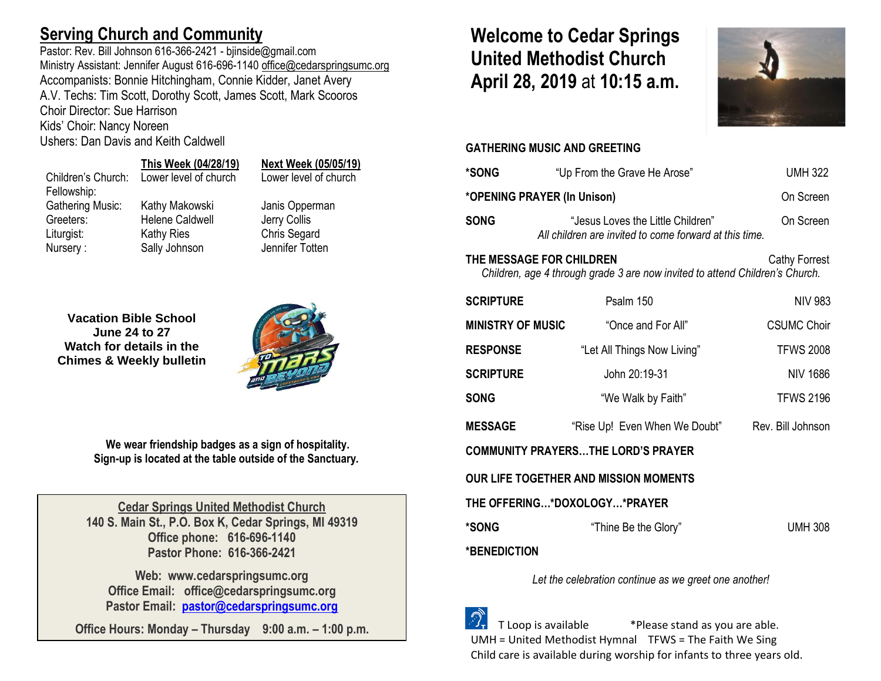## **Serving Church and Community**

Pastor: Rev. Bill Johnson 616-366-2421 - bjinside@gmail.com Ministry Assistant: Jennifer August 616-696-1140 [office@cedarspringsumc.org](mailto:office@cedarspringsumc.org) Accompanists: Bonnie Hitchingham, Connie Kidder, Janet Avery A.V. Techs: Tim Scott, Dorothy Scott, James Scott, Mark Scooros Choir Director: Sue Harrison

Kids' Choir: Nancy Noreen

Ushers: Dan Davis and Keith Caldwell

## **This Week (04/28/19) Next Week (05/05/19)**

# Children's Church: Lower level of church Lower level of church

Fellowship:

Gathering Music: Kathy Makowski Janis Opperman Greeters: Helene Caldwell Jerry Collis Liturgist: Kathy Ries Chris Segard Nursery : Sally Johnson Jennifer Totten

**Vacation Bible School June 24 to 27 Watch for details in the Chimes & Weekly bulletin**



**We wear friendship badges as a sign of hospitality. Sign-up is located at the table outside of the Sanctuary.**

**Cedar Springs United Methodist Church 140 S. Main St., P.O. Box K, Cedar Springs, MI 49319 Office phone: 616-696-1140 Pastor Phone: 616-366-2421**

**Web: www.cedarspringsumc.org Office Email: office@cedarspringsumc.org Pastor Email: [pastor@cedarspringsumc.org](mailto:pastor@cedarspringsumc.org)**

**Office Hours: Monday – Thursday 9:00 a.m. – 1:00 p.m.**

# **Welcome to Cedar Springs United Methodist Church April 28, 2019** at **10:15 a.m.**



### **GATHERING MUSIC AND GREETING**

| *SONG                                                                                                                            | "Up From the Grave He Arose"                                                                | <b>UMH 322</b>     |  |  |  |
|----------------------------------------------------------------------------------------------------------------------------------|---------------------------------------------------------------------------------------------|--------------------|--|--|--|
| *OPENING PRAYER (In Unison)                                                                                                      | On Screen                                                                                   |                    |  |  |  |
| <b>SONG</b>                                                                                                                      | "Jesus Loves the Little Children"<br>All children are invited to come forward at this time. | On Screen          |  |  |  |
| THE MESSAGE FOR CHILDREN<br><b>Cathy Forrest</b><br>Children, age 4 through grade 3 are now invited to attend Children's Church. |                                                                                             |                    |  |  |  |
| <b>SCRIPTURE</b>                                                                                                                 | Psalm 150                                                                                   | <b>NIV 983</b>     |  |  |  |
| <b>MINISTRY OF MUSIC</b>                                                                                                         | "Once and For All"                                                                          | <b>CSUMC Choir</b> |  |  |  |
| <b>RESPONSE</b>                                                                                                                  | "Let All Things Now Living"                                                                 | <b>TFWS 2008</b>   |  |  |  |
| <b>SCRIPTURE</b>                                                                                                                 | John 20:19-31                                                                               | <b>NIV 1686</b>    |  |  |  |
| <b>SONG</b>                                                                                                                      | "We Walk by Faith"                                                                          | <b>TFWS 2196</b>   |  |  |  |
| <b>MESSAGE</b>                                                                                                                   | "Rise Up! Even When We Doubt"                                                               | Rev. Bill Johnson  |  |  |  |
| <b>COMMUNITY PRAYERSTHE LORD'S PRAYER</b>                                                                                        |                                                                                             |                    |  |  |  |
| <b>OUR LIFE TOGETHER AND MISSION MOMENTS</b>                                                                                     |                                                                                             |                    |  |  |  |
| THE OFFERING*DOXOLOGY*PRAYER                                                                                                     |                                                                                             |                    |  |  |  |
| *SONG                                                                                                                            | "Thine Be the Glory"                                                                        | <b>UMH 308</b>     |  |  |  |
| *BENEDICTION                                                                                                                     |                                                                                             |                    |  |  |  |

*Let the celebration continue as we greet one another!*

 T Loop is available \*Please stand as you are able. UMH = United Methodist Hymnal TFWS = The Faith We Sing Child care is available during worship for infants to three years old.